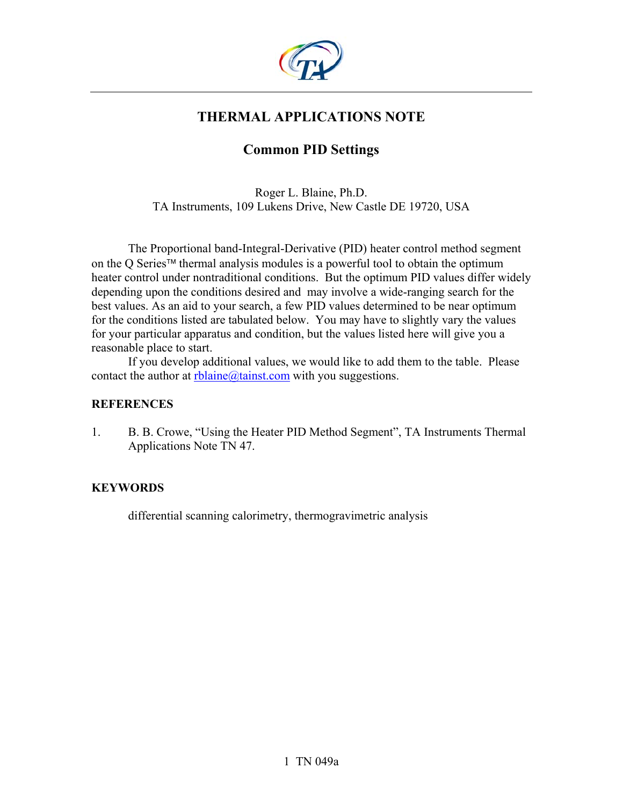

# **THERMAL APPLICATIONS NOTE**

# **Common PID Settings**

Roger L. Blaine, Ph.D. TA Instruments, 109 Lukens Drive, New Castle DE 19720, USA

The Proportional band-Integral-Derivative (PID) heater control method segment on the Q Series<sup> $tM$ </sup> thermal analysis modules is a powerful tool to obtain the optimum heater control under nontraditional conditions. But the optimum PID values differ widely depending upon the conditions desired and may involve a wide-ranging search for the best values. As an aid to your search, a few PID values determined to be near optimum for the conditions listed are tabulated below. You may have to slightly vary the values for your particular apparatus and condition, but the values listed here will give you a reasonable place to start.

If you develop additional values, we would like to add them to the table. Please contact the author at  $rblaine@taint.com$  with you suggestions.

#### **REFERENCES**

1. B. B. Crowe, "Using the Heater PID Method Segment", TA Instruments Thermal Applications Note TN 47.

### **KEYWORDS**

differential scanning calorimetry, thermogravimetric analysis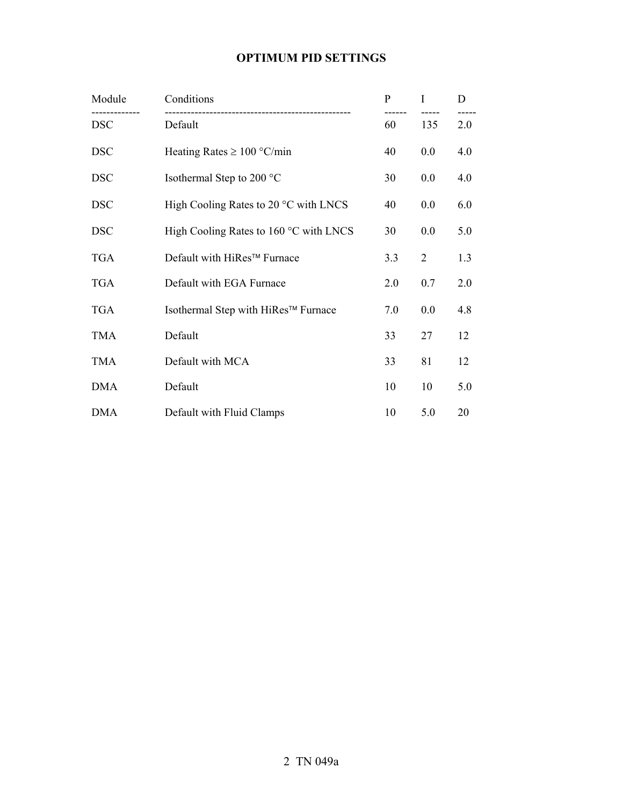### **OPTIMUM PID SETTINGS**

| Module     | Conditions                                      | $\mathbf{P}$ | I              | D   |
|------------|-------------------------------------------------|--------------|----------------|-----|
| <b>DSC</b> | Default                                         | 60           | 135            | 2.0 |
| <b>DSC</b> | Heating Rates $\geq 100$ °C/min                 | 40           | 0.0            | 4.0 |
| <b>DSC</b> | Isothermal Step to 200 °C                       | 30           | 0.0            | 4.0 |
| <b>DSC</b> | High Cooling Rates to $20^{\circ}$ C with LNCS  | 40           | 0.0            | 6.0 |
| <b>DSC</b> | High Cooling Rates to $160^{\circ}$ C with LNCS | 30           | 0.0            | 5.0 |
| <b>TGA</b> | Default with HiRes™ Furnace                     | 3.3          | $\overline{2}$ | 1.3 |
| <b>TGA</b> | Default with EGA Furnace                        | 2.0          | 0.7            | 2.0 |
| <b>TGA</b> | Isothermal Step with HiRes™ Furnace             | 7.0          | 0.0            | 4.8 |
| <b>TMA</b> | Default                                         | 33           | 27             | 12  |
| <b>TMA</b> | Default with MCA                                | 33           | 81             | 12  |
| <b>DMA</b> | Default                                         | 10           | 10             | 5.0 |
| <b>DMA</b> | Default with Fluid Clamps                       | 10           | 5.0            | 20  |